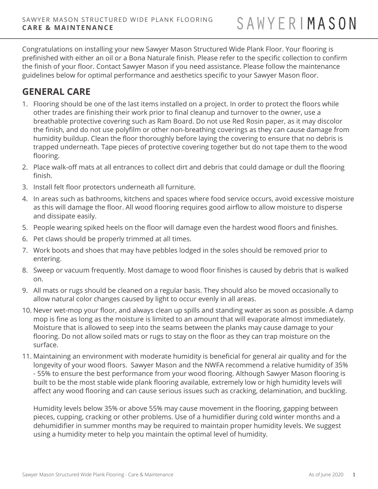Congratulations on installing your new Sawyer Mason Structured Wide Plank Floor. Your flooring is prefinished with either an oil or a Bona Naturale finish. Please refer to the specific collection to confirm the finish of your floor. Contact Sawyer Mason if you need assistance. Please follow the maintenance guidelines below for optimal performance and aesthetics specific to your Sawyer Mason floor.

# **GENERAL CARE**

- 1. Flooring should be one of the last items installed on a project. In order to protect the floors while other trades are finishing their work prior to final cleanup and turnover to the owner, use a breathable protective covering such as Ram Board. Do not use Red Rosin paper, as it may discolor the finish, and do not use polyfilm or other non-breathing coverings as they can cause damage from humidity buildup. Clean the floor thoroughly before laying the covering to ensure that no debris is trapped underneath. Tape pieces of protective covering together but do not tape them to the wood flooring.
- 2. Place walk-off mats at all entrances to collect dirt and debris that could damage or dull the flooring finish.
- 3. Install felt floor protectors underneath all furniture.
- 4. In areas such as bathrooms, kitchens and spaces where food service occurs, avoid excessive moisture as this will damage the floor. All wood flooring requires good airflow to allow moisture to disperse and dissipate easily.
- 5. People wearing spiked heels on the floor will damage even the hardest wood floors and finishes.
- 6. Pet claws should be properly trimmed at all times.
- 7. Work boots and shoes that may have pebbles lodged in the soles should be removed prior to entering.
- 8. Sweep or vacuum frequently. Most damage to wood floor finishes is caused by debris that is walked on.
- 9. All mats or rugs should be cleaned on a regular basis. They should also be moved occasionally to allow natural color changes caused by light to occur evenly in all areas.
- 10. Never wet-mop your floor, and always clean up spills and standing water as soon as possible. A damp mop is fine as long as the moisture is limited to an amount that will evaporate almost immediately. Moisture that is allowed to seep into the seams between the planks may cause damage to your flooring. Do not allow soiled mats or rugs to stay on the floor as they can trap moisture on the surface.
- 11. Maintaining an environment with moderate humidity is beneficial for general air quality and for the longevity of your wood floors. Sawyer Mason and the NWFA recommend a relative humidity of 35% - 55% to ensure the best performance from your wood flooring. Although Sawyer Mason flooring is built to be the most stable wide plank flooring available, extremely low or high humidity levels will affect any wood flooring and can cause serious issues such as cracking, delamination, and buckling.

Humidity levels below 35% or above 55% may cause movement in the flooring, gapping between pieces, cupping, cracking or other problems. Use of a humidifier during cold winter months and a dehumidifier in summer months may be required to maintain proper humidity levels. We suggest using a humidity meter to help you maintain the optimal level of humidity.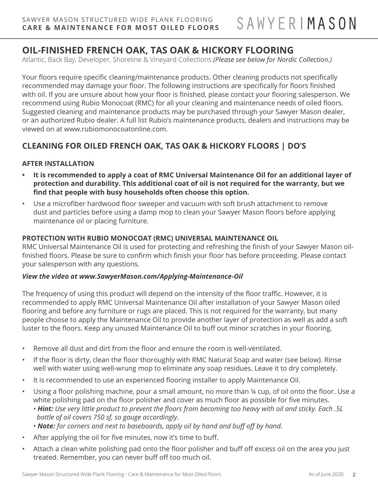# **OIL-FINISHED FRENCH OAK, TAS OAK & HICKORY FLOORING**

Atlantic, Back Bay, Developer, Shoreline & Vineyard Collections *(Please see below for Nordic Collection.)*

Your floors require specific cleaning/maintenance products. Other cleaning products not specifically recommended may damage your floor. The following instructions are specifically for floors finished with oil. If you are unsure about how your floor is finished, please contact your flooring salesperson. We recommend using Rubio Monocoat (RMC) for all your cleaning and maintenance needs of oiled floors. Suggested cleaning and maintenance products may be purchased through your Sawyer Mason dealer, or an authorized Rubio dealer. A full list Rubio's maintenance products, dealers and instructions may be viewed on at www.rubiomonocoatonline.com.

## **CLEANING FOR OILED FRENCH OAK, TAS OAK & HICKORY FLOORS | DO'S**

## **AFTER INSTALLATION**

- **• It is recommended to apply a coat of RMC Universal Maintenance Oil for an additional layer of protection and durability. This additional coat of oil is not required for the warranty, but we find that people with busy households often choose this option.**
- Use a microfiber hardwood floor sweeper and vacuum with soft brush attachment to remove dust and particles before using a damp mop to clean your Sawyer Mason floors before applying maintenance oil or placing furniture.

#### **PROTECTION WITH RUBIO MONOCOAT (RMC) UNIVERSAL MAINTENANCE OIL**

RMC Universal Maintenance Oil is used for protecting and refreshing the finish of your Sawyer Mason oilfinished floors. Please be sure to confirm which finish your floor has before proceeding. Please contact your salesperson with any questions.

#### *View the video at www.SawyerMason.com/Applying-Maintenance-Oil*

The frequency of using this product will depend on the intensity of the floor traffic. However, it is recommended to apply RMC Universal Maintenance Oil after installation of your Sawyer Mason oiled flooring and before any furniture or rugs are placed. This is not required for the warranty, but many people choose to apply the Maintenance Oil to provide another layer of protection as well as add a soft luster to the floors. Keep any unused Maintenance Oil to buff out minor scratches in your flooring.

- Remove all dust and dirt from the floor and ensure the room is well-ventilated.
- If the floor is dirty, clean the floor thoroughly with RMC Natural Soap and water (see below). Rinse well with water using well-wrung mop to eliminate any soap residues. Leave it to dry completely.
- It is recommended to use an experienced flooring installer to apply Maintenance Oil.
- Using a floor polishing machine, pour a small amount, no more than ¼ cup, of oil onto the floor. Use a white polishing pad on the floor polisher and cover as much floor as possible for five minutes.
	- *Hint: Use very little product to prevent the floors from becoming too heavy with oil and sticky. Each .5L bottle of oil covers 750 sf, so gauge accordingly*.
	- *Note: for corners and next to baseboards, apply oil by hand and buff off by hand.*
- After applying the oil for five minutes, now it's time to buff.
- Attach a clean white polishing pad onto the floor polisher and buff off excess oil on the area you just treated. Remember, you can never buff off too much oil.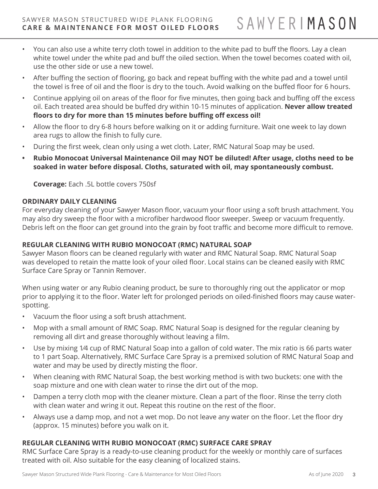- You can also use a white terry cloth towel in addition to the white pad to buff the floors. Lay a clean white towel under the white pad and buff the oiled section. When the towel becomes coated with oil, use the other side or use a new towel.
- After buffing the section of flooring, go back and repeat buffing with the white pad and a towel until the towel is free of oil and the floor is dry to the touch. Avoid walking on the buffed floor for 6 hours.
- Continue applying oil on areas of the floor for five minutes, then going back and buffing off the excess oil. Each treated area should be buffed dry within 10-15 minutes of application. **Never allow treated floors to dry for more than 15 minutes before buffing off excess oil!**
- Allow the floor to dry 6-8 hours before walking on it or adding furniture. Wait one week to lay down area rugs to allow the finish to fully cure.
- During the first week, clean only using a wet cloth. Later, RMC Natural Soap may be used.
- **• Rubio Monocoat Universal Maintenance Oil may NOT be diluted! After usage, cloths need to be soaked in water before disposal. Cloths, saturated with oil, may spontaneously combust.**

**Coverage:** Each .5L bottle covers 750sf

#### **ORDINARY DAILY CLEANING**

For everyday cleaning of your Sawyer Mason floor, vacuum your floor using a soft brush attachment. You may also dry sweep the floor with a microfiber hardwood floor sweeper. Sweep or vacuum frequently. Debris left on the floor can get ground into the grain by foot traffic and become more difficult to remove.

### **REGULAR CLEANING WITH RUBIO MONOCOAT (RMC) NATURAL SOAP**

Sawyer Mason floors can be cleaned regularly with water and RMC Natural Soap. RMC Natural Soap was developed to retain the matte look of your oiled floor. Local stains can be cleaned easily with RMC Surface Care Spray or Tannin Remover.

When using water or any Rubio cleaning product, be sure to thoroughly ring out the applicator or mop prior to applying it to the floor. Water left for prolonged periods on oiled-finished floors may cause waterspotting.

- Vacuum the floor using a soft brush attachment.
- Mop with a small amount of RMC Soap. RMC Natural Soap is designed for the regular cleaning by removing all dirt and grease thoroughly without leaving a film.
- Use by mixing 1⁄4 cup of RMC Natural Soap into a gallon of cold water. The mix ratio is 66 parts water to 1 part Soap. Alternatively, RMC Surface Care Spray is a premixed solution of RMC Natural Soap and water and may be used by directly misting the floor.
- When cleaning with RMC Natural Soap, the best working method is with two buckets: one with the soap mixture and one with clean water to rinse the dirt out of the mop.
- Dampen a terry cloth mop with the cleaner mixture. Clean a part of the floor. Rinse the terry cloth with clean water and wring it out. Repeat this routine on the rest of the floor.
- Always use a damp mop, and not a wet mop. Do not leave any water on the floor. Let the floor dry (approx. 15 minutes) before you walk on it.

## **REGULAR CLEANING WITH RUBIO MONOCOAT (RMC) SURFACE CARE SPRAY**

RMC Surface Care Spray is a ready-to-use cleaning product for the weekly or monthly care of surfaces treated with oil. Also suitable for the easy cleaning of localized stains.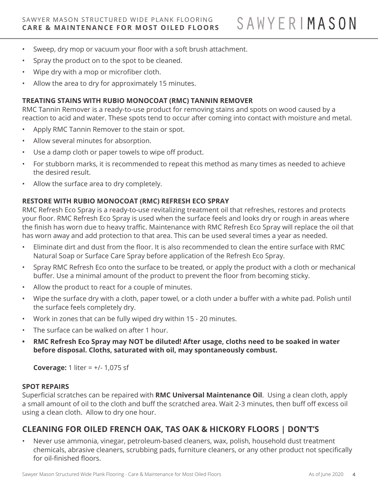- Sweep, dry mop or vacuum your floor with a soft brush attachment.
- Spray the product on to the spot to be cleaned.
- Wipe dry with a mop or microfiber cloth.
- Allow the area to dry for approximately 15 minutes.

#### **TREATING STAINS WITH RUBIO MONOCOAT (RMC) TANNIN REMOVER**

RMC Tannin Remover is a ready-to-use product for removing stains and spots on wood caused by a reaction to acid and water. These spots tend to occur after coming into contact with moisture and metal.

- Apply RMC Tannin Remover to the stain or spot.
- Allow several minutes for absorption.
- Use a damp cloth or paper towels to wipe off product.
- For stubborn marks, it is recommended to repeat this method as many times as needed to achieve the desired result.
- Allow the surface area to dry completely.

#### **RESTORE WITH RUBIO MONOCOAT (RMC) REFRESH ECO SPRAY**

RMC Refresh Eco Spray is a ready-to-use revitalizing treatment oil that refreshes, restores and protects your floor. RMC Refresh Eco Spray is used when the surface feels and looks dry or rough in areas where the finish has worn due to heavy traffic. Maintenance with RMC Refresh Eco Spray will replace the oil that has worn away and add protection to that area. This can be used several times a year as needed.

- Eliminate dirt and dust from the floor. It is also recommended to clean the entire surface with RMC Natural Soap or Surface Care Spray before application of the Refresh Eco Spray.
- Spray RMC Refresh Eco onto the surface to be treated, or apply the product with a cloth or mechanical buffer. Use a minimal amount of the product to prevent the floor from becoming sticky.
- Allow the product to react for a couple of minutes.
- Wipe the surface dry with a cloth, paper towel, or a cloth under a buffer with a white pad. Polish until the surface feels completely dry.
- Work in zones that can be fully wiped dry within 15 20 minutes.
- The surface can be walked on after 1 hour.
- **• RMC Refresh Eco Spray may NOT be diluted! After usage, cloths need to be soaked in water before disposal. Cloths, saturated with oil, may spontaneously combust.**

**Coverage:** 1 liter = +/- 1,075 sf

#### **SPOT REPAIRS**

Superficial scratches can be repaired with **RMC Universal Maintenance Oil**. Using a clean cloth, apply a small amount of oil to the cloth and buff the scratched area. Wait 2-3 minutes, then buff off excess oil using a clean cloth. Allow to dry one hour.

## **CLEANING FOR OILED FRENCH OAK, TAS OAK & HICKORY FLOORS | DON'T'S**

• Never use ammonia, vinegar, petroleum-based cleaners, wax, polish, household dust treatment chemicals, abrasive cleaners, scrubbing pads, furniture cleaners, or any other product not specifically for oil-finished floors.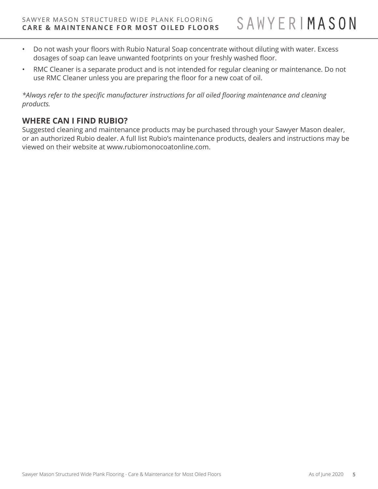- Do not wash your floors with Rubio Natural Soap concentrate without diluting with water. Excess dosages of soap can leave unwanted footprints on your freshly washed floor.
- RMC Cleaner is a separate product and is not intended for regular cleaning or maintenance. Do not use RMC Cleaner unless you are preparing the floor for a new coat of oil.

*\*Always refer to the specific manufacturer instructions for all oiled flooring maintenance and cleaning products.* 

## **WHERE CAN I FIND RUBIO?**

Suggested cleaning and maintenance products may be purchased through your Sawyer Mason dealer, or an authorized Rubio dealer. A full list Rubio's maintenance products, dealers and instructions may be viewed on their website at www.rubiomonocoatonline.com.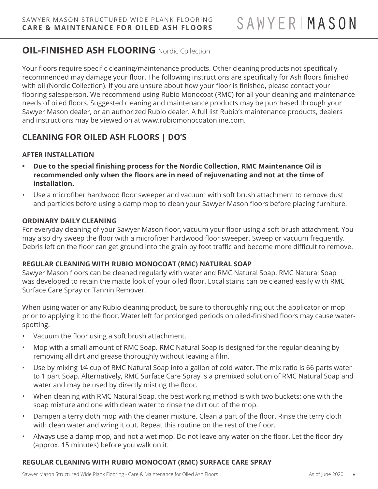# **OIL-FINISHED ASH FLOORING** Nordic Collection

Your floors require specific cleaning/maintenance products. Other cleaning products not specifically recommended may damage your floor. The following instructions are specifically for Ash floors finished with oil (Nordic Collection). If you are unsure about how your floor is finished, please contact your flooring salesperson. We recommend using Rubio Monocoat (RMC) for all your cleaning and maintenance needs of oiled floors. Suggested cleaning and maintenance products may be purchased through your Sawyer Mason dealer, or an authorized Rubio dealer. A full list Rubio's maintenance products, dealers and instructions may be viewed on at www.rubiomonocoatonline.com.

## **CLEANING FOR OILED ASH FLOORS | DO'S**

#### **AFTER INSTALLATION**

- **• Due to the special finishing process for the Nordic Collection, RMC Maintenance Oil is recommended only when the floors are in need of rejuvenating and not at the time of installation.**
- Use a microfiber hardwood floor sweeper and vacuum with soft brush attachment to remove dust and particles before using a damp mop to clean your Sawyer Mason floors before placing furniture.

#### **ORDINARY DAILY CLEANING**

For everyday cleaning of your Sawyer Mason floor, vacuum your floor using a soft brush attachment. You may also dry sweep the floor with a microfiber hardwood floor sweeper. Sweep or vacuum frequently. Debris left on the floor can get ground into the grain by foot traffic and become more difficult to remove.

#### **REGULAR CLEANING WITH RUBIO MONOCOAT (RMC) NATURAL SOAP**

Sawyer Mason floors can be cleaned regularly with water and RMC Natural Soap. RMC Natural Soap was developed to retain the matte look of your oiled floor. Local stains can be cleaned easily with RMC Surface Care Spray or Tannin Remover.

When using water or any Rubio cleaning product, be sure to thoroughly ring out the applicator or mop prior to applying it to the floor. Water left for prolonged periods on oiled-finished floors may cause waterspotting.

- Vacuum the floor using a soft brush attachment.
- Mop with a small amount of RMC Soap. RMC Natural Soap is designed for the regular cleaning by removing all dirt and grease thoroughly without leaving a film.
- Use by mixing 1⁄4 cup of RMC Natural Soap into a gallon of cold water. The mix ratio is 66 parts water to 1 part Soap. Alternatively, RMC Surface Care Spray is a premixed solution of RMC Natural Soap and water and may be used by directly misting the floor.
- When cleaning with RMC Natural Soap, the best working method is with two buckets: one with the soap mixture and one with clean water to rinse the dirt out of the mop.
- Dampen a terry cloth mop with the cleaner mixture. Clean a part of the floor. Rinse the terry cloth with clean water and wring it out. Repeat this routine on the rest of the floor.
- Always use a damp mop, and not a wet mop. Do not leave any water on the floor. Let the floor dry (approx. 15 minutes) before you walk on it.

## **REGULAR CLEANING WITH RUBIO MONOCOAT (RMC) SURFACE CARE SPRAY**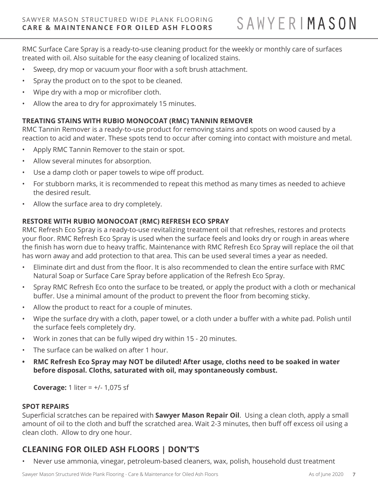SAWYERIMASON

RMC Surface Care Spray is a ready-to-use cleaning product for the weekly or monthly care of surfaces treated with oil. Also suitable for the easy cleaning of localized stains.

- Sweep, dry mop or vacuum your floor with a soft brush attachment.
- Spray the product on to the spot to be cleaned.
- Wipe dry with a mop or microfiber cloth.
- Allow the area to dry for approximately 15 minutes.

## **TREATING STAINS WITH RUBIO MONOCOAT (RMC) TANNIN REMOVER**

RMC Tannin Remover is a ready-to-use product for removing stains and spots on wood caused by a reaction to acid and water. These spots tend to occur after coming into contact with moisture and metal.

- Apply RMC Tannin Remover to the stain or spot.
- Allow several minutes for absorption.
- Use a damp cloth or paper towels to wipe off product.
- For stubborn marks, it is recommended to repeat this method as many times as needed to achieve the desired result.
- Allow the surface area to dry completely.

## **RESTORE WITH RUBIO MONOCOAT (RMC) REFRESH ECO SPRAY**

RMC Refresh Eco Spray is a ready-to-use revitalizing treatment oil that refreshes, restores and protects your floor. RMC Refresh Eco Spray is used when the surface feels and looks dry or rough in areas where the finish has worn due to heavy traffic. Maintenance with RMC Refresh Eco Spray will replace the oil that has worn away and add protection to that area. This can be used several times a year as needed.

- Eliminate dirt and dust from the floor. It is also recommended to clean the entire surface with RMC Natural Soap or Surface Care Spray before application of the Refresh Eco Spray.
- Spray RMC Refresh Eco onto the surface to be treated, or apply the product with a cloth or mechanical buffer. Use a minimal amount of the product to prevent the floor from becoming sticky.
- Allow the product to react for a couple of minutes.
- Wipe the surface dry with a cloth, paper towel, or a cloth under a buffer with a white pad. Polish until the surface feels completely dry.
- Work in zones that can be fully wiped dry within 15 20 minutes.
- The surface can be walked on after 1 hour.
- **• RMC Refresh Eco Spray may NOT be diluted! After usage, cloths need to be soaked in water before disposal. Cloths, saturated with oil, may spontaneously combust.**

**Coverage:** 1 liter = +/- 1,075 sf

#### **SPOT REPAIRS**

Superficial scratches can be repaired with **Sawyer Mason Repair Oil**. Using a clean cloth, apply a small amount of oil to the cloth and buff the scratched area. Wait 2-3 minutes, then buff off excess oil using a clean cloth. Allow to dry one hour.

# **CLEANING FOR OILED ASH FLOORS | DON'T'S**

• Never use ammonia, vinegar, petroleum-based cleaners, wax, polish, household dust treatment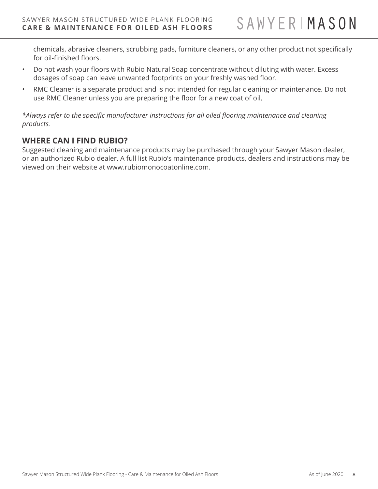chemicals, abrasive cleaners, scrubbing pads, furniture cleaners, or any other product not specifically for oil-finished floors.

- Do not wash your floors with Rubio Natural Soap concentrate without diluting with water. Excess dosages of soap can leave unwanted footprints on your freshly washed floor.
- RMC Cleaner is a separate product and is not intended for regular cleaning or maintenance. Do not use RMC Cleaner unless you are preparing the floor for a new coat of oil.

*\*Always refer to the specific manufacturer instructions for all oiled flooring maintenance and cleaning products.* 

## **WHERE CAN I FIND RUBIO?**

Suggested cleaning and maintenance products may be purchased through your Sawyer Mason dealer, or an authorized Rubio dealer. A full list Rubio's maintenance products, dealers and instructions may be viewed on their website at www.rubiomonocoatonline.com.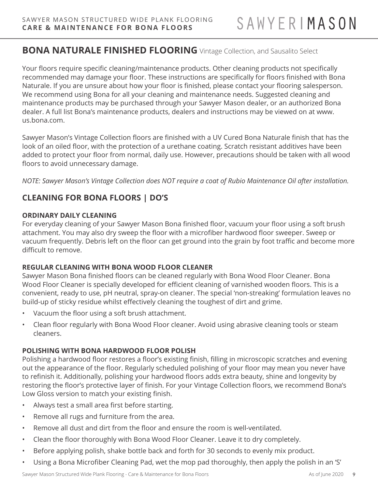# **BONA NATURALE FINISHED FLOORING** Vintage Collection, and Sausalito Select

Your floors require specific cleaning/maintenance products. Other cleaning products not specifically recommended may damage your floor. These instructions are specifically for floors finished with Bona Naturale. If you are unsure about how your floor is finished, please contact your flooring salesperson. We recommend using Bona for all your cleaning and maintenance needs. Suggested cleaning and maintenance products may be purchased through your Sawyer Mason dealer, or an authorized Bona dealer. A full list Bona's maintenance products, dealers and instructions may be viewed on at www. us.bona.com.

Sawyer Mason's Vintage Collection floors are finished with a UV Cured Bona Naturale finish that has the look of an oiled floor, with the protection of a urethane coating. Scratch resistant additives have been added to protect your floor from normal, daily use. However, precautions should be taken with all wood floors to avoid unnecessary damage.

*NOTE: Sawyer Mason's Vintage Collection does NOT require a coat of Rubio Maintenance Oil after installation.* 

# **CLEANING FOR BONA FLOORS | DO'S**

## **ORDINARY DAILY CLEANING**

For everyday cleaning of your Sawyer Mason Bona finished floor, vacuum your floor using a soft brush attachment. You may also dry sweep the floor with a microfiber hardwood floor sweeper. Sweep or vacuum frequently. Debris left on the floor can get ground into the grain by foot traffic and become more difficult to remove.

## **REGULAR CLEANING WITH BONA WOOD FLOOR CLEANER**

Sawyer Mason Bona finished floors can be cleaned regularly with Bona Wood Floor Cleaner. Bona Wood Floor Cleaner is specially developed for efficient cleaning of varnished wooden floors. This is a convenient, ready to use, pH neutral, spray-on cleaner. The special 'non-streaking' formulation leaves no build-up of sticky residue whilst effectively cleaning the toughest of dirt and grime.

- Vacuum the floor using a soft brush attachment.
- Clean floor regularly with Bona Wood Floor cleaner. Avoid using abrasive cleaning tools or steam cleaners.

## **POLISHING WITH BONA HARDWOOD FLOOR POLISH**

Polishing a hardwood floor restores a floor's existing finish, filling in microscopic scratches and evening out the appearance of the floor. Regularly scheduled polishing of your floor may mean you never have to refinish it. Additionally, polishing your hardwood floors adds extra beauty, shine and longevity by restoring the floor's protective layer of finish. For your Vintage Collection floors, we recommend Bona's Low Gloss version to match your existing finish.

- Always test a small area first before starting.
- Remove all rugs and furniture from the area.
- Remove all dust and dirt from the floor and ensure the room is well-ventilated.
- Clean the floor thoroughly with Bona Wood Floor Cleaner. Leave it to dry completely.
- Before applying polish, shake bottle back and forth for 30 seconds to evenly mix product.
- Using a Bona Microfiber Cleaning Pad, wet the mop pad thoroughly, then apply the polish in an 'S'